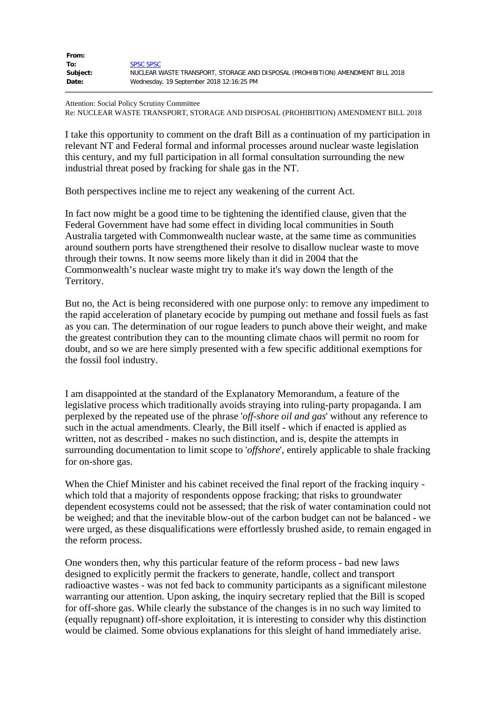| From:    |                                                                                 |
|----------|---------------------------------------------------------------------------------|
| To:      | <b>SPSC SPSC</b>                                                                |
| Subject: | NUCLEAR WASTE TRANSPORT, STORAGE AND DISPOSAL (PROHIBITION) AMENDMENT BILL 2018 |
| Date:    | Wednesday, 19 September 2018 12:16:25 PM                                        |

Attention: Social Policy Scrutiny Committee Re: NUCLEAR WASTE TRANSPORT, STORAGE AND DISPOSAL (PROHIBITION) AMENDMENT BILL 2018

I take this opportunity to comment on the draft Bill as a continuation of my participation in relevant NT and Federal formal and informal processes around nuclear waste legislation this century, and my full participation in all formal consultation surrounding the new industrial threat posed by fracking for shale gas in the NT.

Both perspectives incline me to reject any weakening of the current Act.

In fact now might be a good time to be tightening the identified clause, given that the Federal Government have had some effect in dividing local communities in South Australia targeted with Commonwealth nuclear waste, at the same time as communities around southern ports have strengthened their resolve to disallow nuclear waste to move through their towns. It now seems more likely than it did in 2004 that the Commonwealth's nuclear waste might try to make it's way down the length of the Territory.

But no, the Act is being reconsidered with one purpose only: to remove any impediment to the rapid acceleration of planetary ecocide by pumping out methane and fossil fuels as fast as you can. The determination of our rogue leaders to punch above their weight, and make the greatest contribution they can to the mounting climate chaos will permit no room for doubt, and so we are here simply presented with a few specific additional exemptions for the fossil fool industry.

I am disappointed at the standard of the Explanatory Memorandum, a feature of the legislative process which traditionally avoids straying into ruling-party propaganda. I am perplexed by the repeated use of the phrase '*off-shore oil and gas*' without any reference to such in the actual amendments. Clearly, the Bill itself - which if enacted is applied as written, not as described - makes no such distinction, and is, despite the attempts in surrounding documentation to limit scope to '*offshore*', entirely applicable to shale fracking for on-shore gas.

When the Chief Minister and his cabinet received the final report of the fracking inquiry which told that a majority of respondents oppose fracking; that risks to groundwater dependent ecosystems could not be assessed; that the risk of water contamination could not be weighed; and that the inevitable blow-out of the carbon budget can not be balanced - we were urged, as these disqualifications were effortlessly brushed aside, to remain engaged in the reform process.

One wonders then, why this particular feature of the reform process - bad new laws designed to explicitly permit the frackers to generate, handle, collect and transport radioactive wastes - was not fed back to community participants as a significant milestone warranting our attention. Upon asking, the inquiry secretary replied that the Bill is scoped for off-shore gas. While clearly the substance of the changes is in no such way limited to (equally repugnant) off-shore exploitation, it is interesting to consider why this distinction would be claimed. Some obvious explanations for this sleight of hand immediately arise.